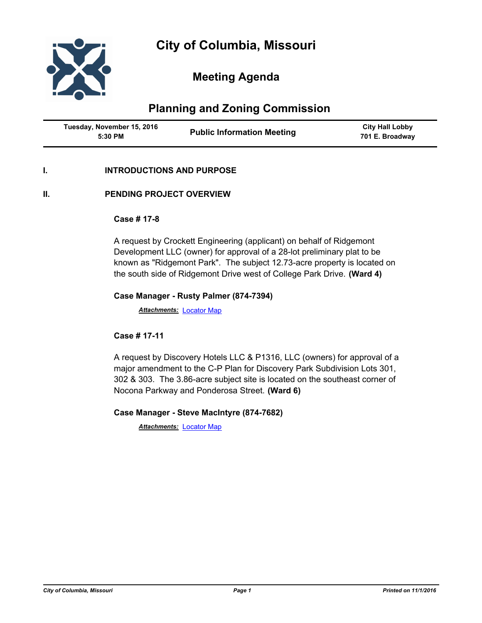

# **Meeting Agenda**

# **Planning and Zoning Commission**

| Tuesday, November 15, 2016<br>5:30 PM | <b>Public Information Meeting</b> | <b>City Hall Lobby</b><br>701 E. Broadway |
|---------------------------------------|-----------------------------------|-------------------------------------------|
|---------------------------------------|-----------------------------------|-------------------------------------------|

## **I. INTRODUCTIONS AND PURPOSE**

## **II. PENDING PROJECT OVERVIEW**

#### **Case # 17-8**

A request by Crockett Engineering (applicant) on behalf of Ridgemont Development LLC (owner) for approval of a 28-lot preliminary plat to be known as "Ridgemont Park". The subject 12.73-acre property is located on the south side of Ridgemont Drive west of College Park Drive. **(Ward 4)**

#### **Case Manager - Rusty Palmer (874-7394)**

*Attachments:* [Locator Map](http://gocolumbiamo.legistar.com/gateway.aspx?M=F&ID=a682e4fa-6bed-441c-a1c1-7b4dd99c3e5e.pdf)

## **Case # 17-11**

A request by Discovery Hotels LLC & P1316, LLC (owners) for approval of a major amendment to the C-P Plan for Discovery Park Subdivision Lots 301, 302 & 303. The 3.86-acre subject site is located on the southeast corner of Nocona Parkway and Ponderosa Street. **(Ward 6)**

## **Case Manager - Steve MacIntyre (874-7682)**

*Attachments:* [Locator Map](http://gocolumbiamo.legistar.com/gateway.aspx?M=F&ID=1effe091-5ac0-4b3c-ae08-adefd38b3d0e.pdf)